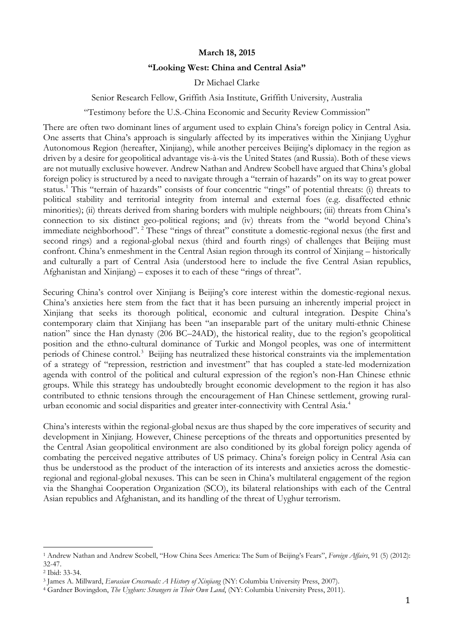### **March 18, 2015**

#### **"Looking West: China and Central Asia"**

Dr Michael Clarke

#### Senior Research Fellow, Griffith Asia Institute, Griffith University, Australia

"Testimony before the U.S.-China Economic and Security Review Commission"

There are often two dominant lines of argument used to explain China's foreign policy in Central Asia. One asserts that China's approach is singularly affected by its imperatives within the Xinjiang Uyghur Autonomous Region (hereafter, Xinjiang), while another perceives Beijing's diplomacy in the region as driven by a desire for geopolitical advantage vis-à-vis the United States (and Russia). Both of these views are not mutually exclusive however. Andrew Nathan and Andrew Scobell have argued that China's global foreign policy is structured by a need to navigate through a "terrain of hazards" on its way to great power status.[1](#page-0-0) This "terrain of hazards" consists of four concentric "rings" of potential threats: (i) threats to political stability and territorial integrity from internal and external foes (e.g. disaffected ethnic minorities); (ii) threats derived from sharing borders with multiple neighbours; (iii) threats from China's connection to six distinct geo-political regions; and (iv) threats from the "world beyond China's immediate neighborhood". [2](#page-0-1) These "rings of threat" constitute a domestic-regional nexus (the first and second rings) and a regional-global nexus (third and fourth rings) of challenges that Beijing must confront. China's enmeshment in the Central Asian region through its control of Xinjiang – historically and culturally a part of Central Asia (understood here to include the five Central Asian republics, Afghanistan and Xinjiang) – exposes it to each of these "rings of threat".

Securing China's control over Xinjiang is Beijing's core interest within the domestic-regional nexus. China's anxieties here stem from the fact that it has been pursuing an inherently imperial project in Xinjiang that seeks its thorough political, economic and cultural integration. Despite China's contemporary claim that Xinjiang has been "an inseparable part of the unitary multi-ethnic Chinese nation" since the Han dynasty (206 BC–24AD), the historical reality, due to the region's geopolitical position and the ethno-cultural dominance of Turkic and Mongol peoples, was one of intermittent periods of Chinese control.<sup>[3](#page-0-2)</sup> Beijing has neutralized these historical constraints via the implementation of a strategy of "repression, restriction and investment" that has coupled a state-led modernization agenda with control of the political and cultural expression of the region's non-Han Chinese ethnic groups. While this strategy has undoubtedly brought economic development to the region it has also contributed to ethnic tensions through the encouragement of Han Chinese settlement, growing rural-urban economic and social disparities and greater inter-connectivity with Central Asia.<sup>[4](#page-0-3)</sup>

China's interests within the regional-global nexus are thus shaped by the core imperatives of security and development in Xinjiang. However, Chinese perceptions of the threats and opportunities presented by the Central Asian geopolitical environment are also conditioned by its global foreign policy agenda of combating the perceived negative attributes of US primacy. China's foreign policy in Central Asia can thus be understood as the product of the interaction of its interests and anxieties across the domesticregional and regional-global nexuses. This can be seen in China's multilateral engagement of the region via the Shanghai Cooperation Organization (SCO), its bilateral relationships with each of the Central Asian republics and Afghanistan, and its handling of the threat of Uyghur terrorism.

<span id="page-0-0"></span><sup>1</sup> Andrew Nathan and Andrew Scobell, "How China Sees America: The Sum of Beijing's Fears", *Foreign Affairs*, 91 (5) (2012): 32-47.  $\overline{a}$ 

<span id="page-0-1"></span><sup>2</sup> Ibid: 33-34.

<span id="page-0-2"></span><sup>3</sup> James A. Millward, *Eurasian Crossroads: A History of Xinjiang* (NY: Columbia University Press, 2007).

<span id="page-0-3"></span><sup>4</sup> Gardner Bovingdon, *The Uyghurs: Strangers in Their Own Land*, (NY: Columbia University Press, 2011).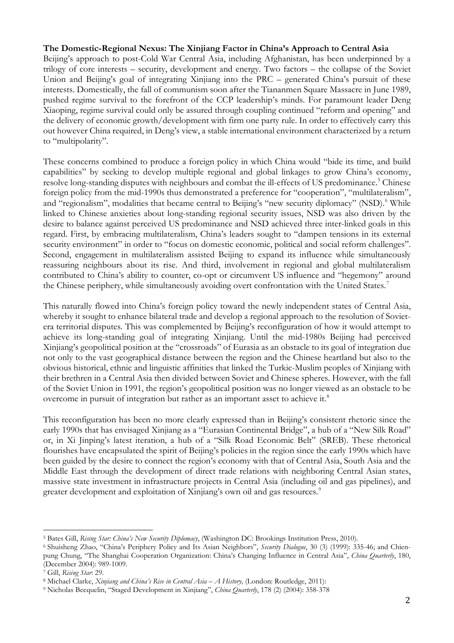## **The Domestic-Regional Nexus: The Xinjiang Factor in China's Approach to Central Asia**

Beijing's approach to post-Cold War Central Asia, including Afghanistan, has been underpinned by a trilogy of core interests – security, development and energy. Two factors – the collapse of the Soviet Union and Beijing's goal of integrating Xinjiang into the PRC – generated China's pursuit of these interests. Domestically, the fall of communism soon after the Tiananmen Square Massacre in June 1989, pushed regime survival to the forefront of the CCP leadership's minds. For paramount leader Deng Xiaoping, regime survival could only be assured through coupling continued "reform and opening" and the delivery of economic growth/development with firm one party rule. In order to effectively carry this out however China required, in Deng's view, a stable international environment characterized by a return to "multipolarity".

These concerns combined to produce a foreign policy in which China would "bide its time, and build capabilities" by seeking to develop multiple regional and global linkages to grow China's economy, resolve long-standing disputes with neighbours and combat the ill-effects of US predominance.<sup>[5](#page-1-0)</sup> Chinese foreign policy from the mid-1990s thus demonstrated a preference for "cooperation", "multilateralism", and "regionalism", modalities that became central to Beijing's "new security diplomacy" (NSD).<sup>[6](#page-1-1)</sup> While linked to Chinese anxieties about long-standing regional security issues, NSD was also driven by the desire to balance against perceived US predominance and NSD achieved three inter-linked goals in this regard. First, by embracing multilateralism, China's leaders sought to "dampen tensions in its external security environment" in order to "focus on domestic economic, political and social reform challenges". Second, engagement in multilateralism assisted Beijing to expand its influence while simultaneously reassuring neighbours about its rise. And third, involvement in regional and global multilateralism contributed to China's ability to counter, co-opt or circumvent US influence and "hegemony" around the Chinese periphery, while simultaneously avoiding overt confrontation with the United States.<sup>[7](#page-1-2)</sup>

This naturally flowed into China's foreign policy toward the newly independent states of Central Asia, whereby it sought to enhance bilateral trade and develop a regional approach to the resolution of Sovietera territorial disputes. This was complemented by Beijing's reconfiguration of how it would attempt to achieve its long-standing goal of integrating Xinjiang. Until the mid-1980s Beijing had perceived Xinjiang's geopolitical position at the "crossroads" of Eurasia as an obstacle to its goal of integration due not only to the vast geographical distance between the region and the Chinese heartland but also to the obvious historical, ethnic and linguistic affinities that linked the Turkic-Muslim peoples of Xinjiang with their brethren in a Central Asia then divided between Soviet and Chinese spheres. However, with the fall of the Soviet Union in 1991, the region's geopolitical position was no longer viewed as an obstacle to be overcome in pursuit of integration but rather as an important asset to achieve it.<sup>[8](#page-1-3)</sup>

This reconfiguration has been no more clearly expressed than in Beijing's consistent rhetoric since the early 1990s that has envisaged Xinjiang as a "Eurasian Continental Bridge", a hub of a "New Silk Road" or, in Xi Jinping's latest iteration, a hub of a "Silk Road Economic Belt" (SREB). These rhetorical flourishes have encapsulated the spirit of Beijing's policies in the region since the early 1990s which have been guided by the desire to connect the region's economy with that of Central Asia, South Asia and the Middle East through the development of direct trade relations with neighboring Central Asian states, massive state investment in infrastructure projects in Central Asia (including oil and gas pipelines), and greater development and exploitation of Xinjiang's own oil and gas resources.<sup>[9](#page-1-4)</sup>

<sup>5</sup> Bates Gill, *Rising Star: China's New Security Diplomacy*, (Washington DC: Brookings Institution Press, 2010).  $\overline{\phantom{a}}$ 

<span id="page-1-1"></span><span id="page-1-0"></span><sup>6</sup> Shuisheng Zhao, "China's Periphery Policy and Its Asian Neighbors", *Security Dialogue*, 30 (3) (1999): 335-46; and Chienpung Chung, "The Shanghai Cooperation Organization: China's Changing Influence in Central Asia", *China Quarterly*, 180, (December 2004): 989-1009.

<span id="page-1-3"></span><span id="page-1-2"></span><sup>&</sup>lt;sup>7</sup> Gill, Rising Star. 29.<br><sup>8</sup> Michael Clarke, *Xinjiang and China's Rise in Central Asia* – A History, (London: Routledge, 2011):<br><sup>9</sup> Nicholas Becquelin, "Staged Development in Xinjiang", *China Quarterly*, 178 (2) (2004)

<span id="page-1-4"></span>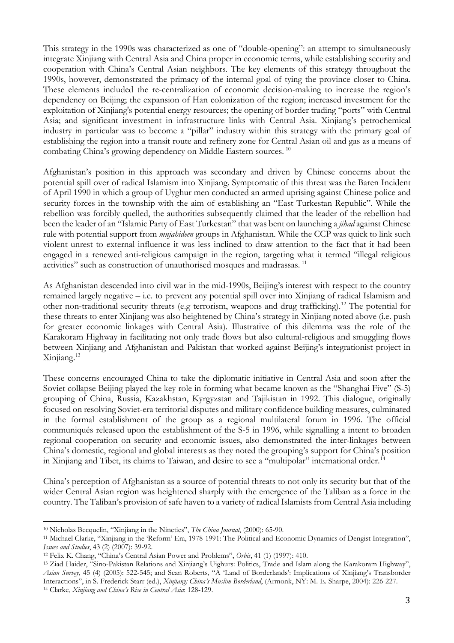This strategy in the 1990s was characterized as one of "double-opening": an attempt to simultaneously integrate Xinjiang with Central Asia and China proper in economic terms, while establishing security and cooperation with China's Central Asian neighbors. The key elements of this strategy throughout the 1990s, however, demonstrated the primacy of the internal goal of tying the province closer to China. These elements included the re-centralization of economic decision-making to increase the region's dependency on Beijing; the expansion of Han colonization of the region; increased investment for the exploitation of Xinjiang's potential energy resources; the opening of border trading "ports" with Central Asia; and significant investment in infrastructure links with Central Asia. Xinjiang's petrochemical industry in particular was to become a "pillar" industry within this strategy with the primary goal of establishing the region into a transit route and refinery zone for Central Asian oil and gas as a means of combating China's growing dependency on Middle Eastern sources. [10](#page-2-0)

Afghanistan's position in this approach was secondary and driven by Chinese concerns about the potential spill over of radical Islamism into Xinjiang. Symptomatic of this threat was the Baren Incident of April 1990 in which a group of Uyghur men conducted an armed uprising against Chinese police and security forces in the township with the aim of establishing an "East Turkestan Republic". While the rebellion was forcibly quelled, the authorities subsequently claimed that the leader of the rebellion had been the leader of an "Islamic Party of East Turkestan" that was bent on launching a *jihad* against Chinese rule with potential support from *mujahideen* groups in Afghanistan. While the CCP was quick to link such violent unrest to external influence it was less inclined to draw attention to the fact that it had been engaged in a renewed anti-religious campaign in the region, targeting what it termed "illegal religious activities" such as construction of unauthorised mosques and madrassas. [11](#page-2-1)

As Afghanistan descended into civil war in the mid-1990s, Beijing's interest with respect to the country remained largely negative – i.e. to prevent any potential spill over into Xinjiang of radical Islamism and other non-traditional security threats (e.g terrorism, weapons and drug trafficking). [12](#page-2-2) The potential for these threats to enter Xinjiang was also heightened by China's strategy in Xinjiang noted above (i.e. push for greater economic linkages with Central Asia). Illustrative of this dilemma was the role of the Karakoram Highway in facilitating not only trade flows but also cultural-religious and smuggling flows between Xinjiang and Afghanistan and Pakistan that worked against Beijing's integrationist project in Xinjiang. [13](#page-2-3)

These concerns encouraged China to take the diplomatic initiative in Central Asia and soon after the Soviet collapse Beijing played the key role in forming what became known as the "Shanghai Five" (S-5) grouping of China, Russia, Kazakhstan, Kyrgyzstan and Tajikistan in 1992. This dialogue, originally focused on resolving Soviet-era territorial disputes and military confidence building measures, culminated in the formal establishment of the group as a regional multilateral forum in 1996. The official communiqués released upon the establishment of the S-5 in 1996, while signalling a intent to broaden regional cooperation on security and economic issues, also demonstrated the inter-linkages between China's domestic, regional and global interests as they noted the grouping's support for China's position in Xinjiang and Tibet, its claims to Taiwan, and desire to see a "multipolar" international order.<sup>[14](#page-2-4)</sup>

China's perception of Afghanistan as a source of potential threats to not only its security but that of the wider Central Asian region was heightened sharply with the emergence of the Taliban as a force in the country. The Taliban's provision of safe haven to a variety of radical Islamists from Central Asia including

<span id="page-2-0"></span><sup>10</sup> Nicholas Becquelin, "Xinjiang in the Nineties", *The China Journal*, (2000): 65-90.  $\overline{a}$ 

<span id="page-2-1"></span><sup>11</sup> Michael Clarke, "Xinjiang in the 'Reform' Era, 1978-1991: The Political and Economic Dynamics of Dengist Integration", *Issues and Studies*, 43 (2) (2007): 39-92.

<span id="page-2-2"></span><sup>12</sup> Felix K. Chang, "China's Central Asian Power and Problems", *Orbis*, 41 (1) (1997): 410.

<span id="page-2-4"></span><span id="page-2-3"></span><sup>13</sup> Ziad Haider, "Sino-Pakistan Relations and Xinjiang's Uighurs: Politics, Trade and Islam along the Karakoram Highway", *Asian Survey*, 45 (4) (2005): 522-545; and Sean Roberts, "A 'Land of Borderlands': Implications of Xinjiang's Transborder Interactions", in S. Frederick Starr (ed.), *Xinjiang: China's Muslim Borderland*, (Armonk, NY: M. E. Sharpe, 2004): 226-227. <sup>14</sup> Clarke, *Xinjiang and China's Rise in Central Asia*: 128-129.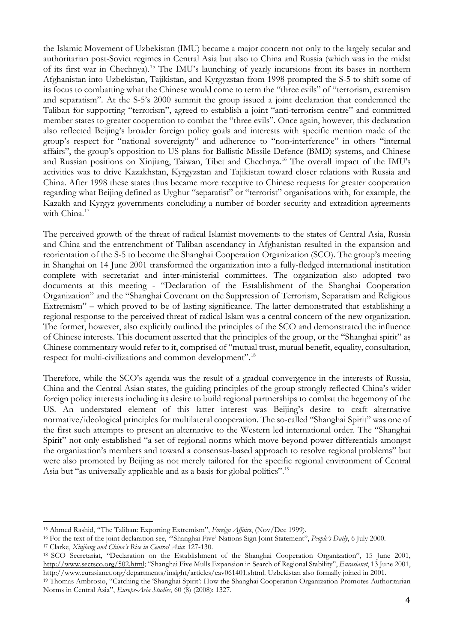the Islamic Movement of Uzbekistan (IMU) became a major concern not only to the largely secular and authoritarian post-Soviet regimes in Central Asia but also to China and Russia (which was in the midst of its first war in Chechnya).[15](#page-3-0) The IMU's launching of yearly incursions from its bases in northern Afghanistan into Uzbekistan, Tajikistan, and Kyrgyzstan from 1998 prompted the S-5 to shift some of its focus to combatting what the Chinese would come to term the "three evils" of "terrorism, extremism and separatism". At the S-5's 2000 summit the group issued a joint declaration that condemned the Taliban for supporting "terrorism", agreed to establish a joint "anti-terrorism centre" and committed member states to greater cooperation to combat the "three evils". Once again, however, this declaration also reflected Beijing's broader foreign policy goals and interests with specific mention made of the group's respect for "national sovereignty" and adherence to "non-interference" in others "internal affairs", the group's opposition to US plans for Ballistic Missile Defence (BMD) systems, and Chinese and Russian positions on Xinjiang, Taiwan, Tibet and Chechnya.[16](#page-3-1) The overall impact of the IMU's activities was to drive Kazakhstan, Kyrgyzstan and Tajikistan toward closer relations with Russia and China. After 1998 these states thus became more receptive to Chinese requests for greater cooperation regarding what Beijing defined as Uyghur "separatist" or "terrorist" organisations with, for example, the Kazakh and Kyrgyz governments concluding a number of border security and extradition agreements with China.<sup>[17](#page-3-2)</sup>

The perceived growth of the threat of radical Islamist movements to the states of Central Asia, Russia and China and the entrenchment of Taliban ascendancy in Afghanistan resulted in the expansion and reorientation of the S-5 to become the Shanghai Cooperation Organization (SCO). The group's meeting in Shanghai on 14 June 2001 transformed the organization into a fully-fledged international institution complete with secretariat and inter-ministerial committees. The organization also adopted two documents at this meeting - "Declaration of the Establishment of the Shanghai Cooperation Organization" and the "Shanghai Covenant on the Suppression of Terrorism, Separatism and Religious Extremism" – which proved to be of lasting significance. The latter demonstrated that establishing a regional response to the perceived threat of radical Islam was a central concern of the new organization. The former, however, also explicitly outlined the principles of the SCO and demonstrated the influence of Chinese interests. This document asserted that the principles of the group, or the "Shanghai spirit" as Chinese commentary would refer to it, comprised of "mutual trust, mutual benefit, equality, consultation, respect for multi-civilizations and common development".[18](#page-3-3)

Therefore, while the SCO's agenda was the result of a gradual convergence in the interests of Russia, China and the Central Asian states, the guiding principles of the group strongly reflected China's wider foreign policy interests including its desire to build regional partnerships to combat the hegemony of the US. An understated element of this latter interest was Beijing's desire to craft alternative normative/ideological principles for multilateral cooperation. The so-called "Shanghai Spirit" was one of the first such attempts to present an alternative to the Western led international order. The "Shanghai Spirit" not only established "a set of regional norms which move beyond power differentials amongst the organization's members and toward a consensus-based approach to resolve regional problems" but were also promoted by Beijing as not merely tailored for the specific regional environment of Central Asia but "as universally applicable and as a basis for global politics".[19](#page-3-4)

<span id="page-3-0"></span><sup>15</sup> Ahmed Rashid, "The Taliban: Exporting Extremism", *Foreign Affairs*, (Nov/Dec 1999).  $\overline{a}$ 

<span id="page-3-1"></span><sup>16</sup> For the text of the joint declaration see, "'Shanghai Five' Nations Sign Joint Statement", *People's Daily*, 6 July 2000. 17 Clarke, *Xinjiang and China's Rise in Central Asia*: 127-130.

<span id="page-3-2"></span>

<span id="page-3-3"></span><sup>18</sup> SCO Secretariat, "Declaration on the Establishment of the Shanghai Cooperation Organization", 15 June 2001, [http://www.sectsco.org/502.html;](http://www.sectsco.org/502.html) "Shanghai Five Mulls Expansion in Search of Regional Stability", *Eurasianet*, 13 June 2001, [http://www.eurasianet.org/departments/insight/articles/eav061401.shtml.](http://www.eurasianet.org/departments/insight/articles/eav061401.shtml) Uzbekistan also formally joined in 2001.

<span id="page-3-4"></span><sup>19</sup> Thomas Ambrosio, "Catching the 'Shanghai Spirit': How the Shanghai Cooperation Organization Promotes Authoritarian Norms in Central Asia", *Europe-Asia Studies*, 60 (8) (2008): 1327.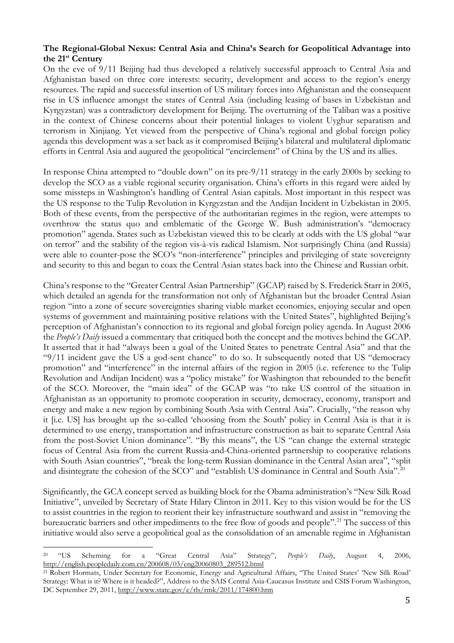## **The Regional-Global Nexus: Central Asia and China's Search for Geopolitical Advantage into the 21st Century**

On the eve of 9/11 Beijing had thus developed a relatively successful approach to Central Asia and Afghanistan based on three core interests: security, development and access to the region's energy resources. The rapid and successful insertion of US military forces into Afghanistan and the consequent rise in US influence amongst the states of Central Asia (including leasing of bases in Uzbekistan and Kyrgyzstan) was a contradictory development for Beijing. The overturning of the Taliban was a positive in the context of Chinese concerns about their potential linkages to violent Uyghur separatism and terrorism in Xinjiang. Yet viewed from the perspective of China's regional and global foreign policy agenda this development was a set back as it compromised Beijing's bilateral and multilateral diplomatic efforts in Central Asia and augured the geopolitical "encirclement" of China by the US and its allies.

In response China attempted to "double down" on its pre-9/11 strategy in the early 2000s by seeking to develop the SCO as a viable regional security organisation. China's efforts in this regard were aided by some missteps in Washington's handling of Central Asian capitals. Most important in this respect was the US response to the Tulip Revolution in Kyrgyzstan and the Andijan Incident in Uzbekistan in 2005. Both of these events, from the perspective of the authoritarian regimes in the region, were attempts to overthrow the status quo and emblematic of the George W. Bush administration's "democracy promotion" agenda. States such as Uzbekistan viewed this to be clearly at odds with the US global "war on terror" and the stability of the region vis-à-vis radical Islamism. Not surprisingly China (and Russia) were able to counter-pose the SCO's "non-interference" principles and privileging of state sovereignty and security to this and began to coax the Central Asian states back into the Chinese and Russian orbit.

China's response to the "Greater Central Asian Partnership" (GCAP) raised by S. Frederick Starr in 2005, which detailed an agenda for the transformation not only of Afghanistan but the broader Central Asian region "into a zone of secure sovereignties sharing viable market economies, enjoying secular and open systems of government and maintaining positive relations with the United States", highlighted Beijing's perception of Afghanistan's connection to its regional and global foreign policy agenda. In August 2006 the *People's Daily* issued a commentary that critiqued both the concept and the motives behind the GCAP. It asserted that it had "always been a goal of the United States to penetrate Central Asia" and that the "9/11 incident gave the US a god-sent chance" to do so. It subsequently noted that US "democracy promotion" and "interference" in the internal affairs of the region in 2005 (i.e. reference to the Tulip Revolution and Andijan Incident) was a "policy mistake" for Washington that rebounded to the benefit of the SCO. Moreover, the "main idea" of the GCAP was "to take US control of the situation in Afghanistan as an opportunity to promote cooperation in security, democracy, economy, transport and energy and make a new region by combining South Asia with Central Asia". Crucially, "the reason why it [i.e. US] has brought up the so-called 'choosing from the South' policy in Central Asia is that it is determined to use energy, transportation and infrastructure construction as bait to separate Central Asia from the post-Soviet Union dominance". "By this means", the US "can change the external strategic focus of Central Asia from the current Russia-and-China-oriented partnership to cooperative relations with South Asian countries", "break the long-term Russian dominance in the Central Asian area", "split and disintegrate the cohesion of the SCO" and "establish US dominance in Central and South Asia".<sup>[20](#page-4-0)</sup>

Significantly, the GCA concept served as building block for the Obama administration's "New Silk Road Initiative", unveiled by Secretary of State Hilary Clinton in 2011. Key to this vision would be for the US to assist countries in the region to reorient their key infrastructure southward and assist in "removing the bureaucratic barriers and other impediments to the free flow of goods and people".<sup>[21](#page-4-1)</sup> The success of this initiative would also serve a geopolitical goal as the consolidation of an amenable regime in Afghanistan

<span id="page-4-0"></span><sup>20</sup> "US Scheming for a "Great Central Asia" Strategy", *People's Daily*, August 4, 2006, [http://english.peopledaily.com.cn/200608/03/eng20060803\\_289512.html](http://english.peopledaily.com.cn/200608/03/eng20060803_289512.html) 20

<span id="page-4-1"></span><sup>&</sup>lt;sup>21</sup> Robert Hormats, Under Secretary for Economic, Energy and Agricultural Affairs, "The United States' 'New Silk Road' Strategy: What is it? Where is it headed?", Address to the SAIS Central Asia-Caucasus Institute and CSIS Forum Washington, DC September 29, 2011[, http://www.state.gov/e/rls/rmk/2011/174800.htm](http://www.state.gov/e/rls/rmk/2011/174800.htm)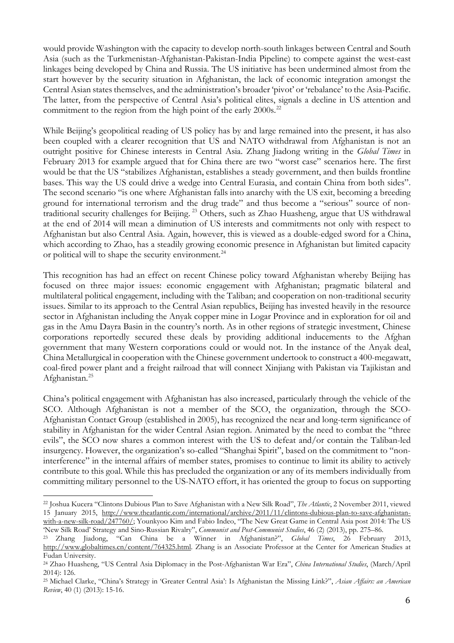would provide Washington with the capacity to develop north-south linkages between Central and South Asia (such as the Turkmenistan-Afghanistan-Pakistan-India Pipeline) to compete against the west-east linkages being developed by China and Russia. The US initiative has been undermined almost from the start however by the security situation in Afghanistan, the lack of economic integration amongst the Central Asian states themselves, and the administration's broader 'pivot' or 'rebalance' to the Asia-Pacific. The latter, from the perspective of Central Asia's political elites, signals a decline in US attention and commitment to the region from the high point of the early  $2000s$ .<sup>[22](#page-5-0)</sup>

While Beijing's geopolitical reading of US policy has by and large remained into the present, it has also been coupled with a clearer recognition that US and NATO withdrawal from Afghanistan is not an outright positive for Chinese interests in Central Asia. Zhang Jiadong writing in the *Global Times* in February 2013 for example argued that for China there are two "worst case" scenarios here. The first would be that the US "stabilizes Afghanistan, establishes a steady government, and then builds frontline bases. This way the US could drive a wedge into Central Eurasia, and contain China from both sides". The second scenario "is one where Afghanistan falls into anarchy with the US exit, becoming a breeding ground for international terrorism and the drug trade" and thus become a "serious" source of nontraditional security challenges for Beijing. [23](#page-5-1) Others, such as Zhao Huasheng, argue that US withdrawal at the end of 2014 will mean a diminution of US interests and commitments not only with respect to Afghanistan but also Central Asia. Again, however, this is viewed as a double-edged sword for a China, which according to Zhao, has a steadily growing economic presence in Afghanistan but limited capacity or political will to shape the security environment.<sup>[24](#page-5-2)</sup>

This recognition has had an effect on recent Chinese policy toward Afghanistan whereby Beijing has focused on three major issues: economic engagement with Afghanistan; pragmatic bilateral and multilateral political engagement, including with the Taliban; and cooperation on non-traditional security issues. Similar to its approach to the Central Asian republics, Beijing has invested heavily in the resource sector in Afghanistan including the Anyak copper mine in Logar Province and in exploration for oil and gas in the Amu Dayra Basin in the country's north. As in other regions of strategic investment, Chinese corporations reportedly secured these deals by providing additional inducements to the Afghan government that many Western corporations could or would not. In the instance of the Anyak deal, China Metallurgical in cooperation with the Chinese government undertook to construct a 400-megawatt, coal-fired power plant and a freight railroad that will connect Xinjiang with Pakistan via Tajikistan and Afghanistan.[25](#page-5-3)

China's political engagement with Afghanistan has also increased, particularly through the vehicle of the SCO. Although Afghanistan is not a member of the SCO, the organization, through the SCO-Afghanistan Contact Group (established in 2005), has recognized the near and long-term significance of stability in Afghanistan for the wider Central Asian region. Animated by the need to combat the "three evils", the SCO now shares a common interest with the US to defeat and/or contain the Taliban-led insurgency. However, the organization's so-called "Shanghai Spirit", based on the commitment to "noninterference" in the internal affairs of member states, promises to continue to limit its ability to actively contribute to this goal. While this has precluded the organization or any of its members individually from committing military personnel to the US-NATO effort, it has oriented the group to focus on supporting

<span id="page-5-0"></span><sup>22</sup> Joshua Kucera "Clintons Dubious Plan to Save Afghanistan with a New Silk Road", *The Atlantic*, 2 November 2011, viewed 15 January 2015, [http://www.theatlantic.com/international/archive/2011/11/clintons-dubious-plan-to-save-afghanistan](http://www.theatlantic.com/international/archive/2011/11/clintons-dubious-plan-to-save-afghanistan-with-a-new-silk-road/247760/)[with-a-new-silk-road/247760/;](http://www.theatlantic.com/international/archive/2011/11/clintons-dubious-plan-to-save-afghanistan-with-a-new-silk-road/247760/) Younkyoo Kim and Fabio Indeo, "The New Great Game in Central Asia post 2014: The US 'New Silk Road' Strategy and Sino-Russian Rivalry", *Communist and Post-Communist Studies*, 46 (2) (2013), pp. 275–86.  $\overline{\phantom{a}}$ 

<span id="page-5-1"></span><sup>23</sup> Zhang Jiadong, "Can China be a Winner in Afghanistan?", *Global Times*, 26 February 2013, [http://www.globaltimes.cn/content/764325.html.](http://www.globaltimes.cn/content/764325.html) Zhang is an Associate Professor at the Center for American Studies at Fudan University.

<span id="page-5-2"></span><sup>24</sup> Zhao Huasheng, "US Central Asia Diplomacy in the Post-Afghanistan War Era", *China International Studies*, (March/April 2014): 126.

<span id="page-5-3"></span><sup>25</sup> Michael Clarke, "China's Strategy in 'Greater Central Asia': Is Afghanistan the Missing Link?", *Asian Affairs: an American Review*, 40 (1) (2013): 15-16.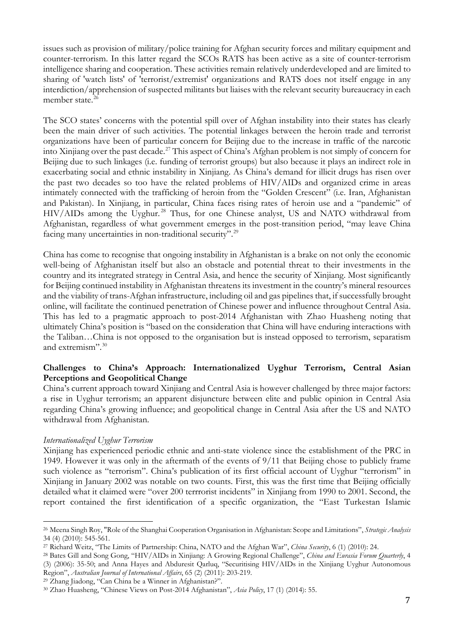issues such as provision of military/police training for Afghan security forces and military equipment and counter-terrorism. In this latter regard the SCOs RATS has been active as a site of counter-terrorism intelligence sharing and cooperation. These activities remain relatively underdeveloped and are limited to sharing of 'watch lists' of 'terrorist/extremist' organizations and RATS does not itself engage in any interdiction/apprehension of suspected militants but liaises with the relevant security bureaucracy in each member state. [26](#page-6-0)

The SCO states' concerns with the potential spill over of Afghan instability into their states has clearly been the main driver of such activities. The potential linkages between the heroin trade and terrorist organizations have been of particular concern for Beijing due to the increase in traffic of the narcotic into Xinjiang over the past decade.[27](#page-6-1) This aspect of China's Afghan problem is not simply of concern for Beijing due to such linkages (i.e. funding of terrorist groups) but also because it plays an indirect role in exacerbating social and ethnic instability in Xinjiang. As China's demand for illicit drugs has risen over the past two decades so too have the related problems of HIV/AIDs and organized crime in areas intimately connected with the trafficking of heroin from the "Golden Crescent" (i.e. Iran, Afghanistan and Pakistan). In Xinjiang, in particular, China faces rising rates of heroin use and a "pandemic" of HIV/AIDs among the Uyghur.<sup>[28](#page-6-2)</sup> Thus, for one Chinese analyst, US and NATO withdrawal from Afghanistan, regardless of what government emerges in the post-transition period, "may leave China facing many uncertainties in non-traditional security".[29](#page-6-3)

China has come to recognise that ongoing instability in Afghanistan is a brake on not only the economic well-being of Afghanistan itself but also an obstacle and potential threat to their investments in the country and its integrated strategy in Central Asia, and hence the security of Xinjiang. Most significantly for Beijing continued instability in Afghanistan threatens its investment in the country's mineral resources and the viability of trans-Afghan infrastructure, including oil and gas pipelines that, if successfully brought online, will facilitate the continued penetration of Chinese power and influence throughout Central Asia. This has led to a pragmatic approach to post-2014 Afghanistan with Zhao Huasheng noting that ultimately China's position is "based on the consideration that China will have enduring interactions with the Taliban…China is not opposed to the organisation but is instead opposed to terrorism, separatism and extremism".<sup>[30](#page-6-4)</sup>

# **Challenges to China's Approach: Internationalized Uyghur Terrorism, Central Asian Perceptions and Geopolitical Change**

China's current approach toward Xinjiang and Central Asia is however challenged by three major factors: a rise in Uyghur terrorism; an apparent disjuncture between elite and public opinion in Central Asia regarding China's growing influence; and geopolitical change in Central Asia after the US and NATO withdrawal from Afghanistan.

# *Internationalized Uyghur Terrorism*

Xinjiang has experienced periodic ethnic and anti-state violence since the establishment of the PRC in 1949. However it was only in the aftermath of the events of 9/11 that Beijing chose to publicly frame such violence as "terrorism". China's publication of its first official account of Uyghur "terrorism" in Xinjiang in January 2002 was notable on two counts. First, this was the first time that Beijing officially detailed what it claimed were "over 200 terrrorist incidents" in Xinjiang from 1990 to 2001. Second, the report contained the first identification of a specific organization, the "East Turkestan Islamic

<span id="page-6-0"></span><sup>26</sup> Meena Singh Roy, "Role of the Shanghai Cooperation Organisation in Afghanistan: Scope and Limitations", *Strategic Analysis* 34 (4) (2010): 545-561.  $\overline{\phantom{a}}$ 

<span id="page-6-1"></span><sup>27</sup> Richard Weitz, "The Limits of Partnership: China, NATO and the Afghan War", *China Security*, 6 (1) (2010): 24.

<span id="page-6-2"></span><sup>28</sup> Bates Gill and Song Gong, "HIV/AIDs in Xinjiang: A Growing Regional Challenge", *China and Eurasia Forum Quarterly*, 4 (3) (2006): 35-50; and Anna Hayes and Abduresit Qarluq, "Securitising HIV/AIDs in the Xinjiang Uyghur Autonomous Region", *Australian Journal of International Affairs*, 65 (2) (2011): 203-219.

<span id="page-6-3"></span><sup>29</sup> Zhang Jiadong, "Can China be a Winner in Afghanistan?".

<span id="page-6-4"></span><sup>30</sup> Zhao Huasheng, "Chinese Views on Post-2014 Afghanistan", *Asia Policy*, 17 (1) (2014): 55.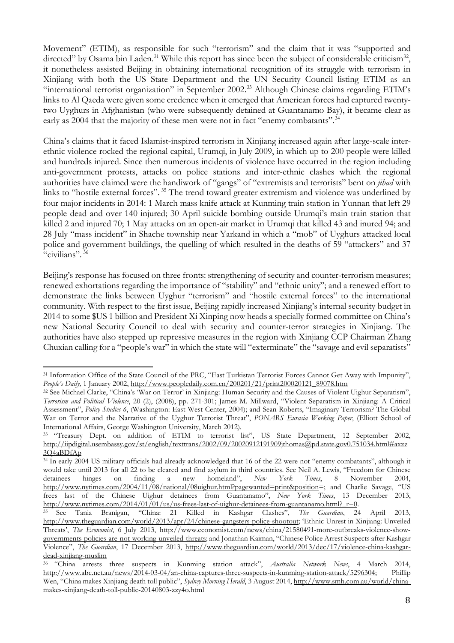Movement" (ETIM), as responsible for such "terrorism" and the claim that it was "supported and directed" by Osama bin Laden.<sup>[31](#page-7-0)</sup> While this report has since been the subject of considerable criticism<sup>32</sup>, it nonetheless assisted Beijing in obtaining international recognition of its struggle with terrorism in Xinjiang with both the US State Department and the UN Security Council listing ETIM as an "international terrorist organization" in September 2002.[33](#page-7-2) Although Chinese claims regarding ETIM's links to Al Qaeda were given some credence when it emerged that American forces had captured twentytwo Uyghurs in Afghanistan (who were subsequently detained at Guantanamo Bay), it became clear as early as 2004 that the majority of these men were not in fact "enemy combatants".<sup>[34](#page-7-3)</sup>

China's claims that it faced Islamist-inspired terrorism in Xinjiang increased again after large-scale interethnic violence rocked the regional capital, Urumqi, in July 2009, in which up to 200 people were killed and hundreds injured. Since then numerous incidents of violence have occurred in the region including anti-government protests, attacks on police stations and inter-ethnic clashes which the regional authorities have claimed were the handiwork of "gangs" of "extremists and terrorists" bent on *jihad* with links to "hostile external forces". [35](#page-7-4) The trend toward greater extremism and violence was underlined by four major incidents in 2014: 1 March mass knife attack at Kunming train station in Yunnan that left 29 people dead and over 140 injured; 30 April suicide bombing outside Urumqi's main train station that killed 2 and injured 70; 1 May attacks on an open-air market in Urumqi that killed 43 and inured 94; and 28 July "mass incident" in Shache township near Yarkand in which a "mob" of Uyghurs attacked local police and government buildings, the quelling of which resulted in the deaths of 59 "attackers" and 37 "civilians".<sup>[36](#page-7-5)</sup>

Beijing's response has focused on three fronts: strengthening of security and counter-terrorism measures; renewed exhortations regarding the importance of "stability" and "ethnic unity"; and a renewed effort to demonstrate the links between Uyghur "terrorism" and "hostile external forces" to the international community. With respect to the first issue, Beijing rapidly increased Xinjiang's internal security budget in 2014 to some \$US 1 billion and President Xi Xinping now heads a specially formed committee on China's new National Security Council to deal with security and counter-terror strategies in Xinjiang. The authorities have also stepped up repressive measures in the region with Xinjiang CCP Chairman Zhang Chuxian calling for a "people's war" in which the state will "exterminate" the "savage and evil separatists"

<span id="page-7-0"></span><sup>&</sup>lt;sup>31</sup> Information Office of the State Council of the PRC, "East Turkistan Terrorist Forces Cannot Get Away with Impunity", *People's Daily,* 1 January 2002, [http://www.peopledaily.com.cn/200201/21/print200020121\\_89078.htm](http://www.peopledaily.com.cn/200201/21/print200020121_89078.htm)  $\overline{a}$ 

<span id="page-7-1"></span><sup>32</sup> See Michael Clarke, "China's 'War on Terror' in Xinjiang: Human Security and the Causes of Violent Uighur Separatism", *Terrorism and Political Violence*, 20 (2), (2008), pp. 271-301; James M. Millward, "Violent Separatism in Xinjiang: A Critical Assessment", *Policy Studies 6*, (Washington: East-West Center, 2004); and Sean Roberts, "Imaginary Terrorism? The Global War on Terror and the Narrative of the Uyghur Terrorist Threat", *PONARS Eurasia Working Paper*, (Elliott School of International Affairs, George Washington University, March 2012).

<span id="page-7-2"></span><sup>&</sup>lt;sup>33</sup> "Treasury Dept. on addition of ETIM to terrorist list", US State Department, 12 September 2002, [http://iipdigital.usembassy.gov/st/english/texttrans/2002/09/20020912191909jthomas@pd.state.gov0.751034.html#axzz](http://iipdigital.usembassy.gov/st/english/texttrans/2002/09/20020912191909jthomas@pd.state.gov0.751034.html%23axzz3Q4aBDfAp) [3Q4aBDfAp](http://iipdigital.usembassy.gov/st/english/texttrans/2002/09/20020912191909jthomas@pd.state.gov0.751034.html%23axzz3Q4aBDfAp)

<span id="page-7-3"></span><sup>&</sup>lt;sup>34</sup> In early 2004 US military officials had already acknowledged that 16 of the 22 were not "enemy combatants", although it would take until 2013 for all 22 to be cleared and find asylum in third countries. See Neil A. Lewis, "Freedom for Chinese detainees hinges on finding a new homeland", New York Times, 8 November 2004, detainees hinges on finding a new homeland", *New York Times*, 8 November 2004, [http://www.nytimes.com/2004/11/08/national/08uighur.html?pagewanted=print&position=](http://www.nytimes.com/2004/11/08/national/08uighur.html?pagewanted=print&position); and Charlie Savage, "US frees last of the Chinese Uighur detainees from Guantanamo", *New York Times*, 13 December 2013, [http://www.nytimes.com/2014/01/01/us/us-frees-last-of-uighur-detainees-from-guantanamo.html?\\_r=0.](http://www.nytimes.com/2014/01/01/us/us-frees-last-of-uighur-detainees-from-guantanamo.html?_r=0) 35 See Tania Branigan, "China: 21 Killed in Kashgar Clashes", *The Guardian*, 24 April 2013,

<span id="page-7-4"></span>[http://www.theguardian.com/world/2013/apr/24/chinese-gangsters-police-shootout;](http://www.theguardian.com/world/2013/apr/24/chinese-gangsters-police-shootout) 'Ethnic Unrest in Xinjiang: Unveiled Threats', *The Economist*, 6 July 2013, [http://www.economist.com/news/china/21580491-more-outbreaks-violence-show](http://www.economist.com/news/china/21580491-more-outbreaks-violence-show-governments-policies-are-not-working-unveiled-threats)[governments-policies-are-not-working-unveiled-threats;](http://www.economist.com/news/china/21580491-more-outbreaks-violence-show-governments-policies-are-not-working-unveiled-threats) and Jonathan Kaiman, "Chinese Police Arrest Suspects after Kashgar Violence", *The Guardian*, 17 December 2013, [http://www.theguardian.com/world/2013/dec/17/violence-china-kashgar](http://www.theguardian.com/world/2013/dec/17/violence-china-kashgar-dead-xinjiang-muslim)[dead-xinjiang-muslim](http://www.theguardian.com/world/2013/dec/17/violence-china-kashgar-dead-xinjiang-muslim)

<span id="page-7-5"></span><sup>36</sup> "China arrests three suspects in Kunming station attack", *Australia Network News*, 4 March 2014, [http://www.abc.net.au/news/2014-03-04/an-china-captures-three-suspects-in-kunming-station-attack/5296304;](http://www.abc.net.au/news/2014-03-04/an-china-captures-three-suspects-in-kunming-station-attack/5296304) Phillip Wen, "China makes Xinjiang death toll public", *Sydney Morning Herald*, 3 August 2014, [http://www.smh.com.au/world/china](http://www.smh.com.au/world/china-makes-xinjiang-death-toll-public-20140803-zzy4o.html)[makes-xinjiang-death-toll-public-20140803-zzy4o.html](http://www.smh.com.au/world/china-makes-xinjiang-death-toll-public-20140803-zzy4o.html)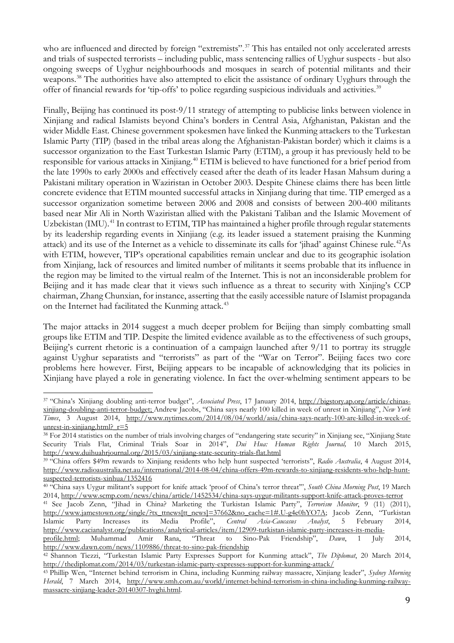who are influenced and directed by foreign "extremists".<sup>[37](#page-8-0)</sup> This has entailed not only accelerated arrests and trials of suspected terrorists – including public, mass sentencing rallies of Uyghur suspects - but also ongoing sweeps of Uyghur neighbourhoods and mosques in search of potential militants and their weapons.<sup>[38](#page-8-1)</sup> The authorities have also attempted to elicit the assistance of ordinary Uyghurs through the offer of financial rewards for 'tip-offs' to police regarding suspicious individuals and activities.<sup>[39](#page-8-2)</sup>

Finally, Beijing has continued its post-9/11 strategy of attempting to publicise links between violence in Xinjiang and radical Islamists beyond China's borders in Central Asia, Afghanistan, Pakistan and the wider Middle East. Chinese government spokesmen have linked the Kunming attackers to the Turkestan Islamic Party (TIP) (based in the tribal areas along the Afghanistan-Pakistan border) which it claims is a successor organization to the East Turkestan Islamic Party (ETIM), a group it has previously held to be responsible for various attacks in Xinjiang.<sup>[40](#page-8-3)</sup> ETIM is believed to have functioned for a brief period from the late 1990s to early 2000s and effectively ceased after the death of its leader Hasan Mahsum during a Pakistani military operation in Waziristan in October 2003. Despite Chinese claims there has been little concrete evidence that ETIM mounted successful attacks in Xinjiang during that time. TIP emerged as a successor organization sometime between 2006 and 2008 and consists of between 200-400 militants based near Mir Ali in North Waziristan allied with the Pakistani Taliban and the Islamic Movement of Uzbekistan (IMU).<sup>[41](#page-8-4)</sup> In contrast to ETIM, TIP has maintained a higher profile through regular statements by its leadership regarding events in Xinjiang (e.g. its leader issued a statement praising the Kunming attack) and its use of the Internet as a vehicle to disseminate its calls for 'jihad' against Chinese rule.<sup>42</sup>As with ETIM, however, TIP's operational capabilities remain unclear and due to its geographic isolation from Xinjiang, lack of resources and limited number of militants it seems probable that its influence in the region may be limited to the virtual realm of the Internet. This is not an inconsiderable problem for Beijing and it has made clear that it views such influence as a threat to security with Xinjing's CCP chairman, Zhang Chunxian, for instance, asserting that the easily accessible nature of Islamist propaganda on the Internet had facilitated the Kunming attack.<sup>[43](#page-8-6)</sup>

The major attacks in 2014 suggest a much deeper problem for Beijing than simply combatting small groups like ETIM and TIP. Despite the limited evidence available as to the effectiveness of such groups, Beijing's current rhetoric is a continuation of a campaign launched after 9/11 to portray its struggle against Uyghur separatists and "terrorists" as part of the "War on Terror". Beijing faces two core problems here however. First, Beijing appears to be incapable of acknowledging that its policies in Xinjiang have played a role in generating violence. In fact the over-whelming sentiment appears to be

<span id="page-8-0"></span><sup>37</sup> "China's Xinjiang doubling anti-terror budget", *Associated Press*, 17 January 2014, [http://bigstory.ap.org/article/chinas](http://bigstory.ap.org/article/chinas-xinjiang-doubling-anti-terror-budget)[xinjiang-doubling-anti-terror-budget;](http://bigstory.ap.org/article/chinas-xinjiang-doubling-anti-terror-budget) Andrew Jacobs, "China says nearly 100 killed in week of unrest in Xinjiang", *New York Times*, 3 August 2014, [http://www.nytimes.com/2014/08/04/world/asia/china-says-nearly-100-are-killed-in-week-of](http://www.nytimes.com/2014/08/04/world/asia/china-says-nearly-100-are-killed-in-week-of-unrest-in-xinjiang.html?_r=5)unrest-in-xinjiang.html?  $r=5$  $\overline{a}$ 

<span id="page-8-1"></span><sup>38</sup> For 2014 statistics on the number of trials involving charges of "endangering state security" in Xinjiang see, "Xinjiang State Security Trials Flat, Criminal Trials Soar in 2014", *Dui Hua: Human Rights Journal,* 10 March 2015, <http://www.duihuahrjournal.org/2015/03/xinjiang-state-security-trials-flat.html>

<span id="page-8-2"></span><sup>39</sup> "China offers \$49m rewards to Xinjiang residents who help hunt suspected 'terrorists'', *Radio Australia*, 4 August 2014, [http://www.radioaustralia.net.au/international/2014-08-04/china-offers-49m-rewards-to-xinjiang-residents-who-help-hunt](http://www.radioaustralia.net.au/international/2014-08-04/china-offers-49m-rewards-to-xinjiang-residents-who-help-hunt-suspected-terrorists-xinhua/1352416)[suspected-terrorists-xinhua/1352416](http://www.radioaustralia.net.au/international/2014-08-04/china-offers-49m-rewards-to-xinjiang-residents-who-help-hunt-suspected-terrorists-xinhua/1352416)

<span id="page-8-3"></span><sup>40</sup> "China says Uygur militant's support for knife attack 'proof of China's terror threat'", *South China Morning Post*, 19 March 2014,<http://www.scmp.com/news/china/article/1452534/china-says-uygur-militants-support-knife-attack-proves-terror>

<span id="page-8-4"></span><sup>41</sup> See Jacob Zenn, "Jihad in China? Marketing the Turkistan Islamic Party", *Terrorism Monitor*, 9 (11) (2011), [http://www.jamestown.org/single/?tx\\_ttnews\[tt\\_news\]=37662&no\\_cache=1#.U-g4e0hYO7A;](http://www.jamestown.org/single/?tx_ttnews%5btt_news%5d=37662&no_cache=1%23.U-g4e0hYO7A) Jacob Zenn, "Turkistan Islamic Party Increases its Media Profile", *Central Asia-Caucasus Analyst*, 5 February 2014, [http://www.cacianalyst.org/publications/analytical-articles/item/12909-turkistan-islamic-party-increases-its-media-](http://www.cacianalyst.org/publications/analytical-articles/item/12909-turkistan-islamic-party-increases-its-media-profile.html)

[profile.html;](http://www.cacianalyst.org/publications/analytical-articles/item/12909-turkistan-islamic-party-increases-its-media-profile.html) Muhammad Amir Rana, "Threat to Sino-Pak Friendship", *Dawn*, 1 July 2014, <http://www.dawn.com/news/1109886/threat-to-sino-pak-friendship>

<span id="page-8-5"></span><sup>42</sup> Shannon Tiezzi, "Turkestan Islamic Party Expresses Support for Kunming attack", *The Diplomat*, 20 March 2014, <http://thediplomat.com/2014/03/turkestan-islamic-party-expresses-support-for-kunming-attack/>

<span id="page-8-6"></span><sup>43</sup> Phillip Wen, "Internet behind terrorism in China, including Kunming railway massacre, Xinjiang leader", *Sydney Morning Herald*, 7 March 2014, [http://www.smh.com.au/world/internet-behind-terrorism-in-china-including-kunming-railway](http://www.smh.com.au/world/internet-behind-terrorism-in-china-including-kunming-railway-massacre-xinjiang-leader-20140307-hvghi.html)[massacre-xinjiang-leader-20140307-hvghi.html.](http://www.smh.com.au/world/internet-behind-terrorism-in-china-including-kunming-railway-massacre-xinjiang-leader-20140307-hvghi.html)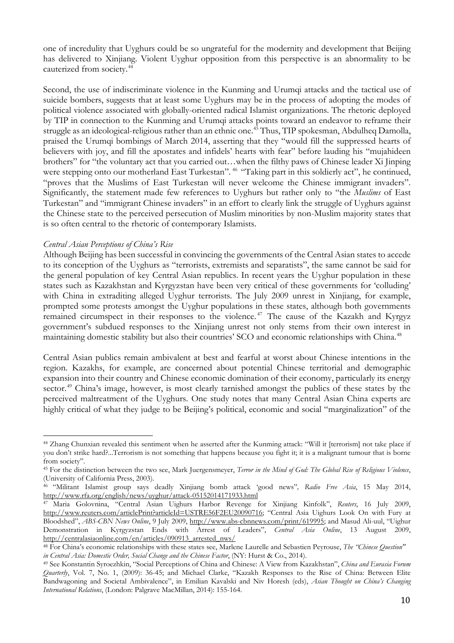one of incredulity that Uyghurs could be so ungrateful for the modernity and development that Beijing has delivered to Xinjiang. Violent Uyghur opposition from this perspective is an abnormality to be cauterized from society.<sup>[44](#page-9-0)</sup>

Second, the use of indiscriminate violence in the Kunming and Urumqi attacks and the tactical use of suicide bombers, suggests that at least some Uyghurs may be in the process of adopting the modes of political violence associated with globally-oriented radical Islamist organizations. The rhetoric deployed by TIP in connection to the Kunming and Urumqi attacks points toward an endeavor to reframe their struggle as an ideological-religious rather than an ethnic one.<sup>[45](#page-9-1)</sup> Thus, TIP spokesman, Abdulheq Damolla, praised the Urumqi bombings of March 2014, asserting that they "would fill the suppressed hearts of believers with joy, and fill the apostates and infidels' hearts with fear" before lauding his "mujahideen brothers" for "the voluntary act that you carried out…when the filthy paws of Chinese leader Xi Jinping were stepping onto our motherland East Turkestan". <sup>[46](#page-9-2)</sup> "Taking part in this soldierly act", he continued, "proves that the Muslims of East Turkestan will never welcome the Chinese immigrant invaders". Significantly, the statement made few references to Uyghurs but rather only to "the *Muslims* of East Turkestan" and "immigrant Chinese invaders" in an effort to clearly link the struggle of Uyghurs against the Chinese state to the perceived persecution of Muslim minorities by non-Muslim majority states that is so often central to the rhetoric of contemporary Islamists.

### *Central Asian Perceptions of China's Rise*

Although Beijing has been successful in convincing the governments of the Central Asian states to accede to its conception of the Uyghurs as "terrorists, extremists and separatists", the same cannot be said for the general population of key Central Asian republics. In recent years the Uyghur population in these states such as Kazakhstan and Kyrgyzstan have been very critical of these governments for 'colluding' with China in extraditing alleged Uyghur terrorists. The July 2009 unrest in Xinjiang, for example, prompted some protests amongst the Uyghur populations in these states, although both governments remained circumspect in their responses to the violence. [47](#page-9-3) The cause of the Kazakh and Kyrgyz government's subdued responses to the Xinjiang unrest not only stems from their own interest in maintaining domestic stability but also their countries' SCO and economic relationships with China. [48](#page-9-4)

Central Asian publics remain ambivalent at best and fearful at worst about Chinese intentions in the region. Kazakhs, for example, are concerned about potential Chinese territorial and demographic expansion into their country and Chinese economic domination of their economy, particularly its energy sector.<sup>[49](#page-9-5)</sup> China's image, however, is most clearly tarnished amongst the publics of these states by the perceived maltreatment of the Uyghurs. One study notes that many Central Asian China experts are highly critical of what they judge to be Beijing's political, economic and social "marginalization" of the

<span id="page-9-0"></span><sup>44</sup> Zhang Chunxian revealed this sentiment when he asserted after the Kunming attack: "Will it [terrorism] not take place if you don't strike hard?...Terrorism is not something that happens because you fight it; it is a malignant tumour that is borne from society".  $\overline{\phantom{a}}$ 

<span id="page-9-1"></span><sup>45</sup> For the distinction between the two see, Mark Juergensmeyer, *Terror in the Mind of God: The Global Rise of Religious Violence*, (University of California Press, 2003).

<span id="page-9-2"></span><sup>46</sup> "Militant Islamist group says deadly Xinjiang bomb attack 'good news''*, Radio Free Asia*, 15 May 2014, <http://www.rfa.org/english/news/uyghur/attack-05152014171933.html>

<span id="page-9-3"></span><sup>47</sup> Maria Golovnina, "Central Asian Uighurs Harbor Revenge for Xinjiang Kinfolk", *Reuters*, 16 July 2009, [http://www.reuters.com/articlePrint?articleId=USTRE56F2EU20090716;](http://www.reuters.com/articlePrint?articleId=USTRE56F2EU20090716) "Central Asia Uighurs Look On with Fury at Bloodshed", *ABS-CBN News Online*, 9 July 2009, [http://www.abs-cbnnews.com/print/619995;](http://www.abs-cbnnews.com/print/619995) and Masud Ali-uul, "Uighur Demonstration in Kyrgyzstan Ends with Arrest of Leaders", *Central Asia Online*, 13 August 2009, [http://centralasiaonline.com/en/articles/090913\\_arrested\\_nws/](http://centralasiaonline.com/en/articles/090913_arrested_nws/)

<span id="page-9-4"></span><sup>48</sup> For China's economic relationships with these states see, Marlene Laurelle and Sebastien Peyrouse, *The "Chinese Question" in Central Asia: Domestic Order, Social Change and the Chinese Factor*, (NY: Hurst & Co., 2014).

<span id="page-9-5"></span><sup>49</sup> See Konstantin Syroezhkin, "Social Perceptions of China and Chinese: A View from Kazakhstan", *China and Eurasia Forum Quarterly*, Vol. 7, No. 1, (2009): 36-45; and Michael Clarke, "Kazakh Responses to the Rise of China: Between Elite Bandwagoning and Societal Ambivalence", in Emilian Kavalski and Niv Horesh (eds), *Asian Thought on China's Changing International Relations*, (London: Palgrave MacMillan, 2014): 155-164.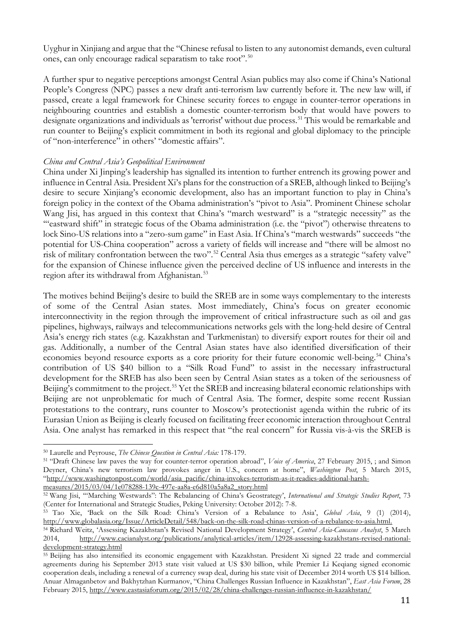Uyghur in Xinjiang and argue that the "Chinese refusal to listen to any autonomist demands, even cultural ones, can only encourage radical separatism to take root".<sup>[50](#page-10-0)</sup>

A further spur to negative perceptions amongst Central Asian publics may also come if China's National People's Congress (NPC) passes a new draft anti-terrorism law currently before it. The new law will, if passed, create a legal framework for Chinese security forces to engage in counter-terror operations in neighbouring countries and establish a domestic counter-terrorism body that would have powers to designate organizations and individuals as 'terrorist' without due process. [51](#page-10-1) This would be remarkable and run counter to Beijing's explicit commitment in both its regional and global diplomacy to the principle of "non-interference" in others' "domestic affairs".

## *China and Central Asia's Geopolitical Environment*

China under Xi Jinping's leadership has signalled its intention to further entrench its growing power and influence in Central Asia. President Xi's plans for the construction of a SREB, although linked to Beijing's desire to secure Xinjiang's economic development, also has an important function to play in China's foreign policy in the context of the Obama administration's "pivot to Asia". Prominent Chinese scholar Wang Jisi, has argued in this context that China's "march westward" is a "strategic necessity" as the '"eastward shift" in strategic focus of the Obama administration (i.e. the "pivot") otherwise threatens to lock Sino-US relations into a "zero-sum game" in East Asia. If China's "march westwards" succeeds "the potential for US-China cooperation" across a variety of fields will increase and "there will be almost no risk of military confrontation between the two". [52](#page-10-2) Central Asia thus emerges as a strategic "safety valve" for the expansion of Chinese influence given the perceived decline of US influence and interests in the region after its withdrawal from Afghanistan.<sup>[53](#page-10-3)</sup>

The motives behind Beijing's desire to build the SREB are in some ways complementary to the interests of some of the Central Asian states. Most immediately, China's focus on greater economic interconnectivity in the region through the improvement of critical infrastructure such as oil and gas pipelines, highways, railways and telecommunications networks gels with the long-held desire of Central Asia's energy rich states (e.g. Kazakhstan and Turkmenistan) to diversify export routes for their oil and gas. Additionally, a number of the Central Asian states have also identified diversification of their economies beyond resource exports as a core priority for their future economic well-being.<sup>[54](#page-10-4)</sup> China's contribution of US \$40 billion to a "Silk Road Fund" to assist in the necessary infrastructural development for the SREB has also been seen by Central Asian states as a token of the seriousness of Beijing's commitment to the project.<sup>[55](#page-10-5)</sup> Yet the SREB and increasing bilateral economic relationships with Beijing are not unproblematic for much of Central Asia. The former, despite some recent Russian protestations to the contrary, runs counter to Moscow's protectionist agenda within the rubric of its Eurasian Union as Beijing is clearly focused on facilitating freer economic interaction throughout Central Asia. One analyst has remarked in this respect that "the real concern" for Russia vis-à-vis the SREB is

[measures/2015/03/04/1e078288-139c-497e-aa8a-e6d810a5a8a2\\_story.html](http://www.washingtonpost.com/world/asia_pacific/china-invokes-terrorism-as-it-readies-additional-harsh-measures/2015/03/04/1e078288-139c-497e-aa8a-e6d810a5a8a2_story.html)

<sup>50</sup> Laurelle and Peyrouse, *The Chinese Question in Central Asia:* 178-179.  $\overline{a}$ 

<span id="page-10-1"></span><span id="page-10-0"></span><sup>51</sup> "Draft Chinese law paves the way for counter-terror operation abroad", *Voice of America*, 27 February 2015, ; and Simon Deyner, China's new terrorism law provokes anger in U.S., concern at home", *Washington Post*, 5 March 2015, ["http://www.washingtonpost.com/world/asia\\_pacific/china-invokes-terrorism-as-it-readies-additional-harsh-](http://www.washingtonpost.com/world/asia_pacific/china-invokes-terrorism-as-it-readies-additional-harsh-measures/2015/03/04/1e078288-139c-497e-aa8a-e6d810a5a8a2_story.html)

<span id="page-10-2"></span><sup>52</sup> Wang Jisi, '"Marching Westwards": The Rebalancing of China's Geostrategy', *International and Strategic Studies Report*, 73 (Center for International and Strategic Studies, Peking University: October 2012): 7-8.

<span id="page-10-3"></span><sup>53</sup> Tao Xie, 'Back on the Silk Road: China's Version of a Rebalance to Asia', *Global Asia*, 9 (1) (2014), [http://www.globalasia.org/Issue/ArticleDetail/548/back-on-the-silk-road-chinas-version-of-a-rebalance-to-asia.html.](http://www.globalasia.org/Issue/ArticleDetail/548/back-on-the-silk-road-chinas-version-of-a-rebalance-to-asia.html)

<span id="page-10-4"></span><sup>54</sup> Richard Weitz, 'Assessing Kazakhstan's Revised National Development Strategy', *Central Asia-Caucasus Analyst*, 5 March 2014, [http://www.cacianalyst.org/publications/analytical-articles/item/12928-assessing-kazakhstans-revised-national](http://www.cacianalyst.org/publications/analytical-articles/item/12928-assessing-kazakhstans-revised-national-development-strategy.html)[development-strategy.html](http://www.cacianalyst.org/publications/analytical-articles/item/12928-assessing-kazakhstans-revised-national-development-strategy.html)

<span id="page-10-5"></span><sup>55</sup> Beijing has also intensified its economic engagement with Kazakhstan. President Xi signed 22 trade and commercial agreements during his September 2013 state visit valued at US \$30 billion, while Premier Li Keqiang signed economic cooperation deals, including a renewal of a currency swap deal, during his state visit of December 2014 worth US \$14 billion. Anuar Almaganbetov and Bakhytzhan Kurmanov, "China Challenges Russian Influence in Kazakhstan", *East Asia Forum*, 28 February 2015,<http://www.eastasiaforum.org/2015/02/28/china-challenges-russian-influence-in-kazakhstan/>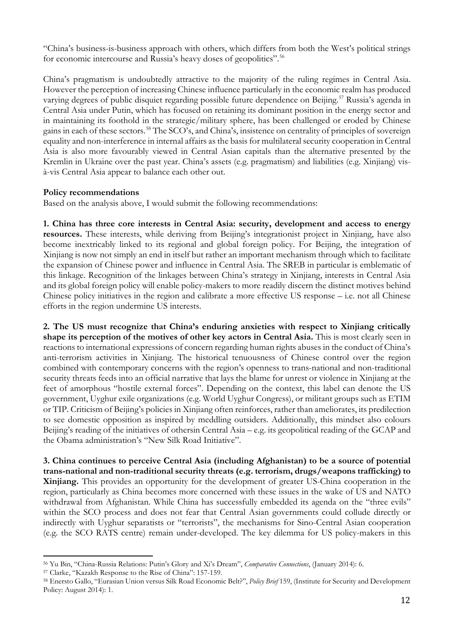"China's business-is-business approach with others, which differs from both the West's political strings for economic intercourse and Russia's heavy doses of geopolitics".<sup>[56](#page-11-0)</sup>

China's pragmatism is undoubtedly attractive to the majority of the ruling regimes in Central Asia. However the perception of increasing Chinese influence particularly in the economic realm has produced varying degrees of public disquiet regarding possible future dependence on Beijing.<sup>[57](#page-11-1)</sup> Russia's agenda in Central Asia under Putin, which has focused on retaining its dominant position in the energy sector and in maintaining its foothold in the strategic/military sphere, has been challenged or eroded by Chinese gains in each of these sectors.<sup>[58](#page-11-2)</sup> The SCO's, and China's, insistence on centrality of principles of sovereign equality and non-interference in internal affairs as the basis for multilateral security cooperation in Central Asia is also more favourably viewed in Central Asian capitals than the alternative presented by the Kremlin in Ukraine over the past year. China's assets (e.g. pragmatism) and liabilities (e.g. Xinjiang) visà-vis Central Asia appear to balance each other out.

# **Policy recommendations**

Based on the analysis above, I would submit the following recommendations:

**1. China has three core interests in Central Asia: security, development and access to energy resources.** These interests, while deriving from Beijing's integrationist project in Xinjiang, have also become inextricably linked to its regional and global foreign policy. For Beijing, the integration of Xinjiang is now not simply an end in itself but rather an important mechanism through which to facilitate the expansion of Chinese power and influence in Central Asia. The SREB in particular is emblematic of this linkage. Recognition of the linkages between China's strategy in Xinjiang, interests in Central Asia and its global foreign policy will enable policy-makers to more readily discern the distinct motives behind Chinese policy initiatives in the region and calibrate a more effective US response – i.e. not all Chinese efforts in the region undermine US interests.

**2. The US must recognize that China's enduring anxieties with respect to Xinjiang critically shape its perception of the motives of other key actors in Central Asia.** This is most clearly seen in reactions to international expressions of concern regarding human rights abuses in the conduct of China's anti-terrorism activities in Xinjiang. The historical tenuousness of Chinese control over the region combined with contemporary concerns with the region's openness to trans-national and non-traditional security threats feeds into an official narrative that lays the blame for unrest or violence in Xinjiang at the feet of amorphous "hostile external forces". Depending on the context, this label can denote the US government, Uyghur exile organizations (e.g. World Uyghur Congress), or militant groups such as ETIM or TIP. Criticism of Beijing's policies in Xinjiang often reinforces, rather than ameliorates, its predilection to see domestic opposition as inspired by meddling outsiders. Additionally, this mindset also colours Beijing's reading of the initiatives of othersin Central Asia – e.g. its geopolitical reading of the GCAP and the Obama administration's "New Silk Road Initiative".

**3. China continues to perceive Central Asia (including Afghanistan) to be a source of potential trans-national and non-traditional security threats (e.g. terrorism, drugs/weapons trafficking) to Xinjiang.** This provides an opportunity for the development of greater US-China cooperation in the region, particularly as China becomes more concerned with these issues in the wake of US and NATO withdrawal from Afghanistan. While China has successfully embedded its agenda on the "three evils" within the SCO process and does not fear that Central Asian governments could collude directly or indirectly with Uyghur separatists or "terrorists", the mechanisms for Sino-Central Asian cooperation (e.g. the SCO RATS centre) remain under-developed. The key dilemma for US policy-makers in this

<span id="page-11-0"></span><sup>56</sup> Yu Bin, "China-Russia Relations: Putin's Glory and Xi's Dream", *Comparative Connections*, (January 2014): 6.  $\overline{\phantom{a}}$ 

<span id="page-11-1"></span><sup>57</sup> Clarke, "Kazakh Response to the Rise of China": 157-159.

<span id="page-11-2"></span><sup>58</sup> Enersto Gallo, "Eurasian Union versus Silk Road Economic Belt?", *Policy Brief* 159, (Institute for Security and Development Policy: August 2014): 1.